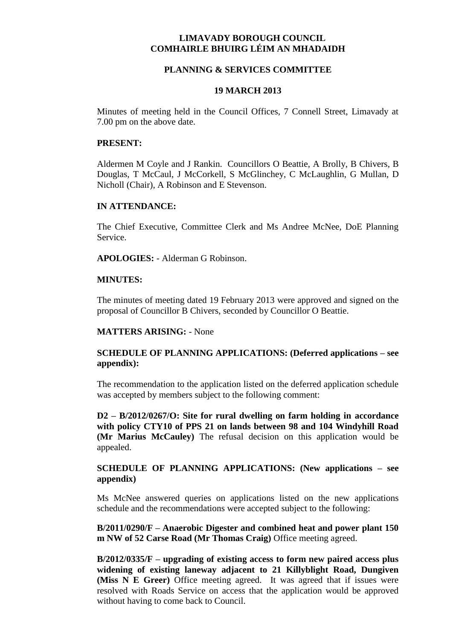## **LIMAVADY BOROUGH COUNCIL COMHAIRLE BHUIRG LÉIM AN MHADAIDH**

#### **PLANNING & SERVICES COMMITTEE**

#### **19 MARCH 2013**

Minutes of meeting held in the Council Offices, 7 Connell Street, Limavady at 7.00 pm on the above date.

#### **PRESENT:**

Aldermen M Coyle and J Rankin. Councillors O Beattie, A Brolly, B Chivers, B Douglas, T McCaul, J McCorkell, S McGlinchey, C McLaughlin, G Mullan, D Nicholl (Chair), A Robinson and E Stevenson.

#### **IN ATTENDANCE:**

The Chief Executive, Committee Clerk and Ms Andree McNee, DoE Planning Service.

**APOLOGIES:** - Alderman G Robinson.

#### **MINUTES:**

The minutes of meeting dated 19 February 2013 were approved and signed on the proposal of Councillor B Chivers, seconded by Councillor O Beattie.

#### **MATTERS ARISING:** - None

## **SCHEDULE OF PLANNING APPLICATIONS: (Deferred applications – see appendix):**

The recommendation to the application listed on the deferred application schedule was accepted by members subject to the following comment:

**D2 – B/2012/0267/O: Site for rural dwelling on farm holding in accordance with policy CTY10 of PPS 21 on lands between 98 and 104 Windyhill Road (Mr Marius McCauley)** The refusal decision on this application would be appealed.

## **SCHEDULE OF PLANNING APPLICATIONS: (New applications – see appendix)**

Ms McNee answered queries on applications listed on the new applications schedule and the recommendations were accepted subject to the following:

**B/2011/0290/F – Anaerobic Digester and combined heat and power plant 150 m NW of 52 Carse Road (Mr Thomas Craig)** Office meeting agreed.

**B/2012/0335/F – upgrading of existing access to form new paired access plus widening of existing laneway adjacent to 21 Killyblight Road, Dungiven (Miss N E Greer)** Office meeting agreed. It was agreed that if issues were resolved with Roads Service on access that the application would be approved without having to come back to Council.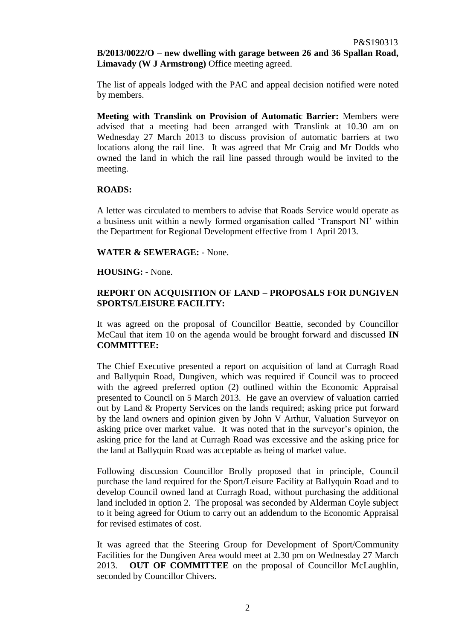# **B/2013/0022/O – new dwelling with garage between 26 and 36 Spallan Road, Limavady (W J Armstrong)** Office meeting agreed.

The list of appeals lodged with the PAC and appeal decision notified were noted by members.

**Meeting with Translink on Provision of Automatic Barrier:** Members were advised that a meeting had been arranged with Translink at 10.30 am on Wednesday 27 March 2013 to discuss provision of automatic barriers at two locations along the rail line. It was agreed that Mr Craig and Mr Dodds who owned the land in which the rail line passed through would be invited to the meeting.

## **ROADS:**

A letter was circulated to members to advise that Roads Service would operate as a business unit within a newly formed organisation called 'Transport NI' within the Department for Regional Development effective from 1 April 2013.

**WATER & SEWERAGE:** - None.

## **HOUSING:** - None.

# **REPORT ON ACQUISITION OF LAND – PROPOSALS FOR DUNGIVEN SPORTS/LEISURE FACILITY:**

It was agreed on the proposal of Councillor Beattie, seconded by Councillor McCaul that item 10 on the agenda would be brought forward and discussed **IN COMMITTEE:** 

The Chief Executive presented a report on acquisition of land at Curragh Road and Ballyquin Road, Dungiven, which was required if Council was to proceed with the agreed preferred option (2) outlined within the Economic Appraisal presented to Council on 5 March 2013. He gave an overview of valuation carried out by Land & Property Services on the lands required; asking price put forward by the land owners and opinion given by John V Arthur, Valuation Surveyor on asking price over market value. It was noted that in the surveyor's opinion, the asking price for the land at Curragh Road was excessive and the asking price for the land at Ballyquin Road was acceptable as being of market value.

Following discussion Councillor Brolly proposed that in principle, Council purchase the land required for the Sport/Leisure Facility at Ballyquin Road and to develop Council owned land at Curragh Road, without purchasing the additional land included in option 2. The proposal was seconded by Alderman Coyle subject to it being agreed for Otium to carry out an addendum to the Economic Appraisal for revised estimates of cost.

It was agreed that the Steering Group for Development of Sport/Community Facilities for the Dungiven Area would meet at 2.30 pm on Wednesday 27 March 2013. **OUT OF COMMITTEE** on the proposal of Councillor McLaughlin, seconded by Councillor Chivers.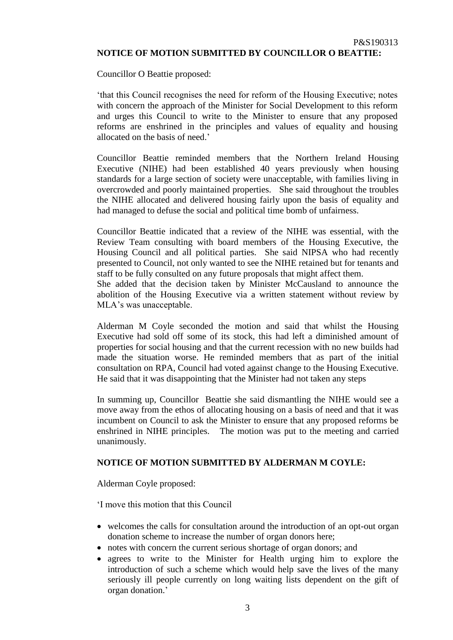Councillor O Beattie proposed:

'that this Council recognises the need for reform of the Housing Executive; notes with concern the approach of the Minister for Social Development to this reform and urges this Council to write to the Minister to ensure that any proposed reforms are enshrined in the principles and values of equality and housing allocated on the basis of need.'

Councillor Beattie reminded members that the Northern Ireland Housing Executive (NIHE) had been established 40 years previously when housing standards for a large section of society were unacceptable, with families living in overcrowded and poorly maintained properties. She said throughout the troubles the NIHE allocated and delivered housing fairly upon the basis of equality and had managed to defuse the social and political time bomb of unfairness.

Councillor Beattie indicated that a review of the NIHE was essential, with the Review Team consulting with board members of the Housing Executive, the Housing Council and all political parties. She said NIPSA who had recently presented to Council, not only wanted to see the NIHE retained but for tenants and staff to be fully consulted on any future proposals that might affect them.

She added that the decision taken by Minister McCausland to announce the abolition of the Housing Executive via a written statement without review by MLA's was unacceptable.

Alderman M Coyle seconded the motion and said that whilst the Housing Executive had sold off some of its stock, this had left a diminished amount of properties for social housing and that the current recession with no new builds had made the situation worse. He reminded members that as part of the initial consultation on RPA, Council had voted against change to the Housing Executive. He said that it was disappointing that the Minister had not taken any steps

In summing up, Councillor Beattie she said dismantling the NIHE would see a move away from the ethos of allocating housing on a basis of need and that it was incumbent on Council to ask the Minister to ensure that any proposed reforms be enshrined in NIHE principles. The motion was put to the meeting and carried unanimously.

# **NOTICE OF MOTION SUBMITTED BY ALDERMAN M COYLE:**

Alderman Coyle proposed:

'I move this motion that this Council

- welcomes the calls for consultation around the introduction of an opt-out organ donation scheme to increase the number of organ donors here;
- notes with concern the current serious shortage of organ donors; and
- agrees to write to the Minister for Health urging him to explore the introduction of such a scheme which would help save the lives of the many seriously ill people currently on long waiting lists dependent on the gift of organ donation.'